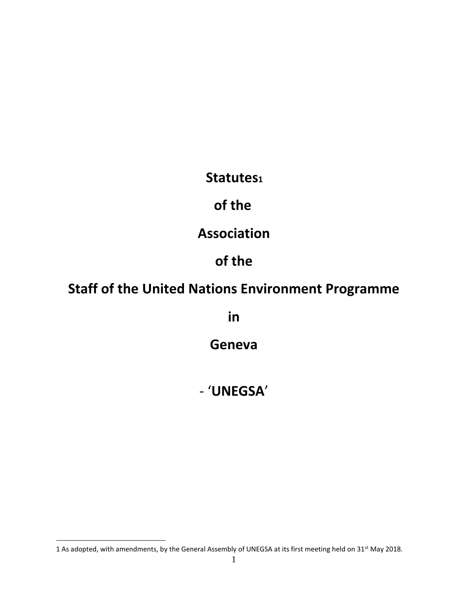**Statutes<sup>1</sup>**

**of the**

**Association**

# **of the**

# **Staff of the United Nations Environment Programme**

**in** 

**Geneva**

- '**UNEGSA**'

 $\overline{a}$ 

<sup>1</sup> As adopted, with amendments, by the General Assembly of UNEGSA at its first meeting held on 31<sup>st</sup> May 2018.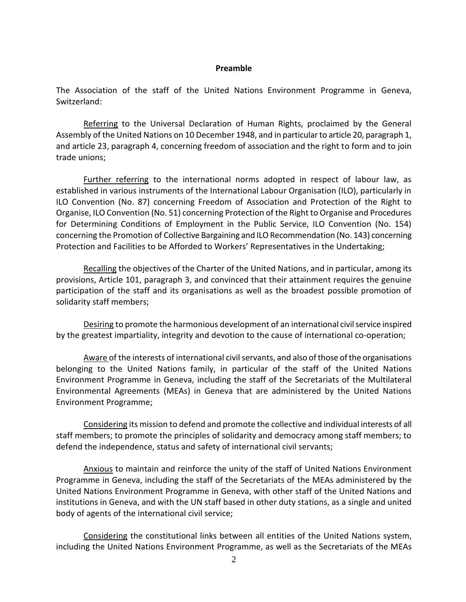#### **Preamble**

The Association of the staff of the United Nations Environment Programme in Geneva, Switzerland:

Referring to the Universal Declaration of Human Rights, proclaimed by the General Assembly of the United Nations on 10 December 1948, and in particular to article 20, paragraph 1, and article 23, paragraph 4, concerning freedom of association and the right to form and to join trade unions;

Further referring to the international norms adopted in respect of labour law, as established in various instruments of the International Labour Organisation (ILO), particularly in ILO Convention (No. 87) concerning Freedom of Association and Protection of the Right to Organise, ILO Convention (No. 51) concerning Protection of the Right to Organise and Procedures for Determining Conditions of Employment in the Public Service, ILO Convention (No. 154) concerning the Promotion of Collective Bargaining and ILO Recommendation (No. 143) concerning Protection and Facilities to be Afforded to Workers' Representatives in the Undertaking;

Recalling the objectives of the Charter of the United Nations, and in particular, among its provisions, Article 101, paragraph 3, and convinced that their attainment requires the genuine participation of the staff and its organisations as well as the broadest possible promotion of solidarity staff members;

Desiring to promote the harmonious development of an international civil service inspired by the greatest impartiality, integrity and devotion to the cause of international co-operation;

Aware of the interests of international civil servants, and also of those of the organisations belonging to the United Nations family, in particular of the staff of the United Nations Environment Programme in Geneva, including the staff of the Secretariats of the Multilateral Environmental Agreements (MEAs) in Geneva that are administered by the United Nations Environment Programme;

Considering its mission to defend and promote the collective and individual interests of all staff members; to promote the principles of solidarity and democracy among staff members; to defend the independence, status and safety of international civil servants;

Anxious to maintain and reinforce the unity of the staff of United Nations Environment Programme in Geneva, including the staff of the Secretariats of the MEAs administered by the United Nations Environment Programme in Geneva, with other staff of the United Nations and institutions in Geneva, and with the UN staff based in other duty stations, as a single and united body of agents of the international civil service;

Considering the constitutional links between all entities of the United Nations system, including the United Nations Environment Programme, as well as the Secretariats of the MEAs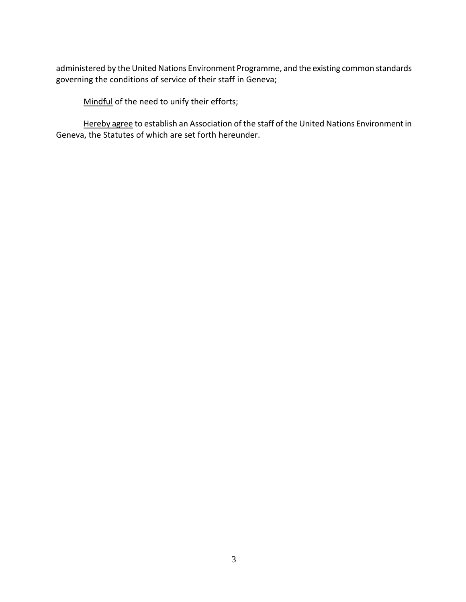administered by the United Nations Environment Programme, and the existing common standards governing the conditions of service of their staff in Geneva;

Mindful of the need to unify their efforts;

Hereby agree to establish an Association of the staff of the United Nations Environment in Geneva, the Statutes of which are set forth hereunder.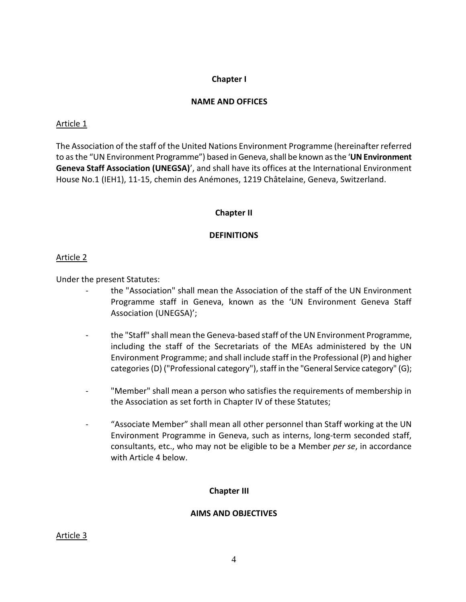#### **Chapter I**

#### **NAME AND OFFICES**

#### Article 1

The Association of the staff of the United Nations Environment Programme (hereinafter referred to as the "UN Environment Programme") based in Geneva, shall be known as the 'UN Environment **Geneva Staff Association (UNEGSA)**', and shall have its offices at the International Environment House No.1 (IEH1), 11-15, chemin des Anémones, 1219 Châtelaine, Geneva, Switzerland.

#### **Chapter II**

#### **DEFINITIONS**

#### Article 2

Under the present Statutes:

- the "Association" shall mean the Association of the staff of the UN Environment Programme staff in Geneva, known as the 'UN Environment Geneva Staff Association (UNEGSA)';
- the "Staff" shall mean the Geneva-based staff of the UN Environment Programme, including the staff of the Secretariats of the MEAs administered by the UN Environment Programme; and shall include staff in the Professional (P) and higher categories(D) ("Professional category"), staff in the "General Service category" (G);
- "Member" shall mean a person who satisfies the requirements of membership in the Association as set forth in Chapter IV of these Statutes;
- "Associate Member" shall mean all other personnel than Staff working at the UN Environment Programme in Geneva, such as interns, long-term seconded staff, consultants, etc., who may not be eligible to be a Member *per se*, in accordance with Article 4 below.

## **Chapter III**

#### **AIMS AND OBJECTIVES**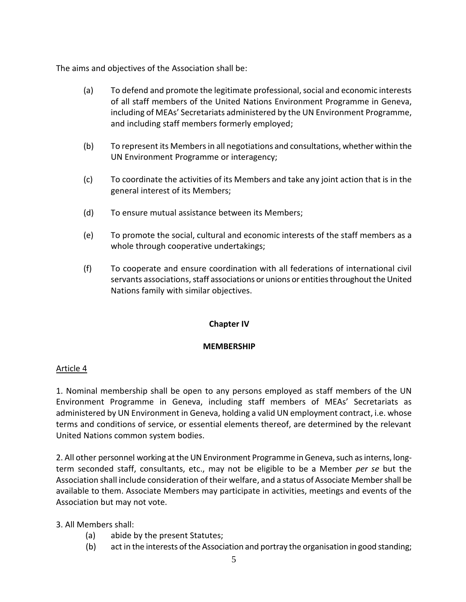The aims and objectives of the Association shall be:

- (a) To defend and promote the legitimate professional, social and economic interests of all staff members of the United Nations Environment Programme in Geneva, including of MEAs' Secretariats administered by the UN Environment Programme, and including staff members formerly employed;
- (b) To represent its Members in all negotiations and consultations, whether within the UN Environment Programme or interagency;
- (c) To coordinate the activities of its Members and take any joint action that is in the general interest of its Members;
- (d) To ensure mutual assistance between its Members;
- (e) To promote the social, cultural and economic interests of the staff members as a whole through cooperative undertakings;
- (f) To cooperate and ensure coordination with all federations of international civil servants associations, staff associations or unions or entities throughout the United Nations family with similar objectives.

#### **Chapter IV**

#### **MEMBERSHIP**

#### Article 4

1. Nominal membership shall be open to any persons employed as staff members of the UN Environment Programme in Geneva, including staff members of MEAs' Secretariats as administered by UN Environment in Geneva, holding a valid UN employment contract, i.e. whose terms and conditions of service, or essential elements thereof, are determined by the relevant United Nations common system bodies.

2. All other personnel working at the UN Environment Programme in Geneva, such as interns, longterm seconded staff, consultants, etc., may not be eligible to be a Member *per se* but the Association shall include consideration of their welfare, and a status of Associate Member shall be available to them. Associate Members may participate in activities, meetings and events of the Association but may not vote.

#### 3. All Members shall:

- (a) abide by the present Statutes;
- (b) act in the interests of the Association and portray the organisation in good standing;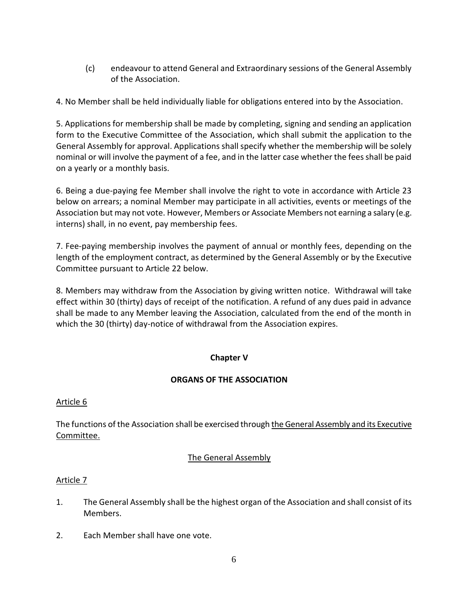(c) endeavour to attend General and Extraordinary sessions of the General Assembly of the Association.

4. No Member shall be held individually liable for obligations entered into by the Association.

5. Applications for membership shall be made by completing, signing and sending an application form to the Executive Committee of the Association, which shall submit the application to the General Assembly for approval. Applications shall specify whether the membership will be solely nominal or will involve the payment of a fee, and in the latter case whether the fees shall be paid on a yearly or a monthly basis.

6. Being a due-paying fee Member shall involve the right to vote in accordance with Article 23 below on arrears; a nominal Member may participate in all activities, events or meetings of the Association but may not vote. However, Members or Associate Members not earning a salary (e.g. interns) shall, in no event, pay membership fees.

7. Fee-paying membership involves the payment of annual or monthly fees, depending on the length of the employment contract, as determined by the General Assembly or by the Executive Committee pursuant to Article 22 below.

8. Members may withdraw from the Association by giving written notice. Withdrawal will take effect within 30 (thirty) days of receipt of the notification. A refund of any dues paid in advance shall be made to any Member leaving the Association, calculated from the end of the month in which the 30 (thirty) day-notice of withdrawal from the Association expires.

## **Chapter V**

## **ORGANS OF THE ASSOCIATION**

## Article 6

The functions of the Association shall be exercised through the General Assembly and its Executive Committee.

## The General Assembly

- 1. The General Assembly shall be the highest organ of the Association and shall consist of its Members.
- 2. Each Member shall have one vote.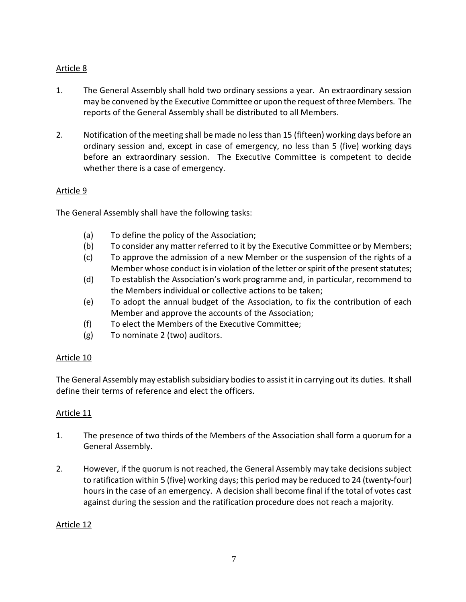## Article 8

- 1. The General Assembly shall hold two ordinary sessions a year. An extraordinary session may be convened by the Executive Committee or upon the request of three Members. The reports of the General Assembly shall be distributed to all Members.
- 2. Notification of the meeting shall be made no less than 15 (fifteen) working days before an ordinary session and, except in case of emergency, no less than 5 (five) working days before an extraordinary session. The Executive Committee is competent to decide whether there is a case of emergency.

## Article 9

The General Assembly shall have the following tasks:

- (a) To define the policy of the Association;
- (b) To consider any matter referred to it by the Executive Committee or by Members;
- (c) To approve the admission of a new Member or the suspension of the rights of a Member whose conduct is in violation of the letter or spirit of the present statutes;
- (d) To establish the Association's work programme and, in particular, recommend to the Members individual or collective actions to be taken;
- (e) To adopt the annual budget of the Association, to fix the contribution of each Member and approve the accounts of the Association;
- (f) To elect the Members of the Executive Committee;
- (g) To nominate 2 (two) auditors.

## Article 10

The General Assembly may establish subsidiary bodies to assist it in carrying out its duties. It shall define their terms of reference and elect the officers.

## Article 11

- 1. The presence of two thirds of the Members of the Association shall form a quorum for a General Assembly.
- 2. However, if the quorum is not reached, the General Assembly may take decisions subject to ratification within 5 (five) working days; this period may be reduced to 24 (twenty-four) hours in the case of an emergency. A decision shall become final if the total of votes cast against during the session and the ratification procedure does not reach a majority.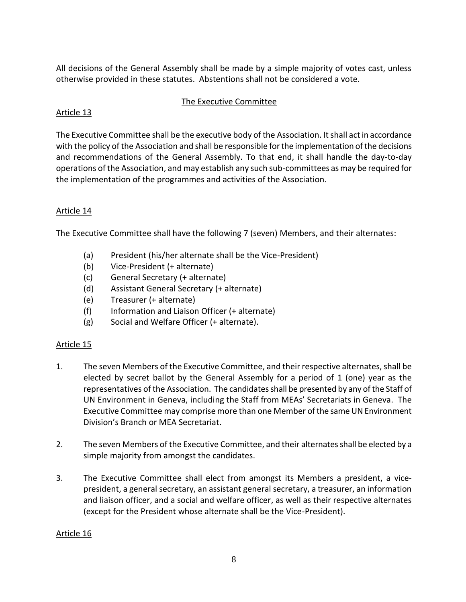All decisions of the General Assembly shall be made by a simple majority of votes cast, unless otherwise provided in these statutes. Abstentions shall not be considered a vote.

#### The Executive Committee

## Article 13

The Executive Committee shall be the executive body of the Association. It shall act in accordance with the policy of the Association and shall be responsible for the implementation of the decisions and recommendations of the General Assembly. To that end, it shall handle the day-to-day operations of the Association, and may establish any such sub-committees as may be required for the implementation of the programmes and activities of the Association.

# Article 14

The Executive Committee shall have the following 7 (seven) Members, and their alternates:

- (a) President (his/her alternate shall be the Vice-President)
- (b) Vice-President (+ alternate)
- (c) General Secretary (+ alternate)
- (d) Assistant General Secretary (+ alternate)
- (e) Treasurer (+ alternate)
- (f) Information and Liaison Officer (+ alternate)
- (g) Social and Welfare Officer (+ alternate).

## Article 15

- 1. The seven Members of the Executive Committee, and their respective alternates, shall be elected by secret ballot by the General Assembly for a period of 1 (one) year as the representatives of the Association. The candidates shall be presented by any of the Staff of UN Environment in Geneva, including the Staff from MEAs' Secretariats in Geneva. The Executive Committee may comprise more than one Member of the same UN Environment Division's Branch or MEA Secretariat.
- 2. The seven Members of the Executive Committee, and their alternatesshall be elected by a simple majority from amongst the candidates.
- 3. The Executive Committee shall elect from amongst its Members a president, a vicepresident, a general secretary, an assistant general secretary, a treasurer, an information and liaison officer, and a social and welfare officer, as well as their respective alternates (except for the President whose alternate shall be the Vice-President).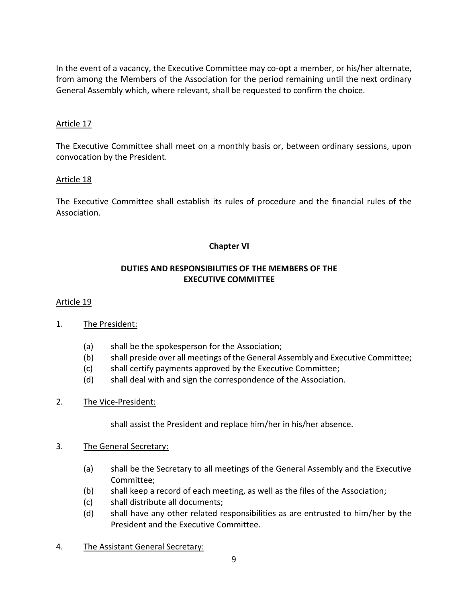In the event of a vacancy, the Executive Committee may co-opt a member, or his/her alternate, from among the Members of the Association for the period remaining until the next ordinary General Assembly which, where relevant, shall be requested to confirm the choice.

## Article 17

The Executive Committee shall meet on a monthly basis or, between ordinary sessions, upon convocation by the President.

## Article 18

The Executive Committee shall establish its rules of procedure and the financial rules of the Association.

## **Chapter VI**

## **DUTIES AND RESPONSIBILITIES OF THE MEMBERS OF THE EXECUTIVE COMMITTEE**

## Article 19

- 1. The President:
	- (a) shall be the spokesperson for the Association;
	- (b) shall preside over all meetings of the General Assembly and Executive Committee;
	- (c) shall certify payments approved by the Executive Committee;
	- (d) shall deal with and sign the correspondence of the Association.
- 2. The Vice-President:

shall assist the President and replace him/her in his/her absence.

## 3. The General Secretary:

- (a) shall be the Secretary to all meetings of the General Assembly and the Executive Committee;
- (b) shall keep a record of each meeting, as well as the files of the Association;
- (c) shall distribute all documents;
- (d) shall have any other related responsibilities as are entrusted to him/her by the President and the Executive Committee.
- 4. The Assistant General Secretary: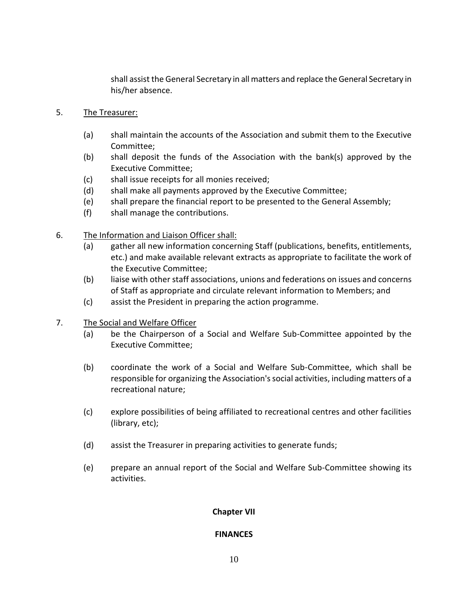shall assist the General Secretary in all matters and replace the General Secretary in his/her absence.

- 5. The Treasurer:
	- (a) shall maintain the accounts of the Association and submit them to the Executive Committee;
	- (b) shall deposit the funds of the Association with the bank(s) approved by the Executive Committee;
	- (c) shall issue receipts for all monies received;
	- (d) shall make all payments approved by the Executive Committee;
	- (e) shall prepare the financial report to be presented to the General Assembly;
	- (f) shall manage the contributions.
- 6. The Information and Liaison Officer shall:
	- (a) gather all new information concerning Staff (publications, benefits, entitlements, etc.) and make available relevant extracts as appropriate to facilitate the work of the Executive Committee;
	- (b) liaise with other staff associations, unions and federations on issues and concerns of Staff as appropriate and circulate relevant information to Members; and
	- (c) assist the President in preparing the action programme.
- 7. The Social and Welfare Officer
	- (a) be the Chairperson of a Social and Welfare Sub-Committee appointed by the Executive Committee;
	- (b) coordinate the work of a Social and Welfare Sub-Committee, which shall be responsible for organizing the Association's social activities, including matters of a recreational nature;
	- (c) explore possibilities of being affiliated to recreational centres and other facilities (library, etc);
	- (d) assist the Treasurer in preparing activities to generate funds;
	- (e) prepare an annual report of the Social and Welfare Sub-Committee showing its activities.

## **Chapter VII**

#### **FINANCES**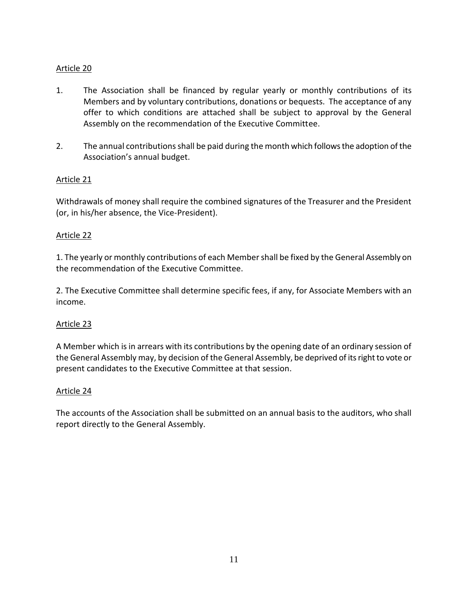## Article 20

- 1. The Association shall be financed by regular yearly or monthly contributions of its Members and by voluntary contributions, donations or bequests. The acceptance of any offer to which conditions are attached shall be subject to approval by the General Assembly on the recommendation of the Executive Committee.
- 2. The annual contributions shall be paid during the month which follows the adoption of the Association's annual budget.

## Article 21

Withdrawals of money shall require the combined signatures of the Treasurer and the President (or, in his/her absence, the Vice-President).

## Article 22

1. The yearly or monthly contributions of each Member shall be fixed by the General Assembly on the recommendation of the Executive Committee.

2. The Executive Committee shall determine specific fees, if any, for Associate Members with an income.

## Article 23

A Member which is in arrears with its contributions by the opening date of an ordinary session of the General Assembly may, by decision of the General Assembly, be deprived of its right to vote or present candidates to the Executive Committee at that session.

#### Article 24

The accounts of the Association shall be submitted on an annual basis to the auditors, who shall report directly to the General Assembly.